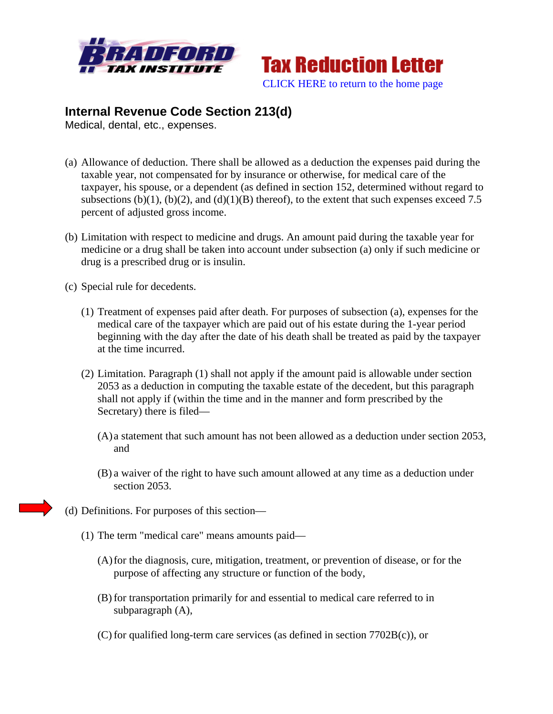



## **Internal Revenue Code Section 213(d)**

Medical, dental, etc., expenses.

- (a) Allowance of deduction. There shall be allowed as a deduction the expenses paid during the taxable year, not compensated for by insurance or otherwise, for medical care of the taxpayer, his spouse, or a dependent (as defined in section 152, determined without regard to subsections (b)(1), (b)(2), and (d)(1)(B) thereof), to the extent that such expenses exceed 7.5 percent of adjusted gross income.
- (b) Limitation with respect to medicine and drugs. An amount paid during the taxable year for medicine or a drug shall be taken into account under subsection (a) only if such medicine or drug is a prescribed drug or is insulin.
- (c) Special rule for decedents.
	- (1) Treatment of expenses paid after death. For purposes of subsection (a), expenses for the medical care of the taxpayer which are paid out of his estate during the 1-year period beginning with the day after the date of his death shall be treated as paid by the taxpayer at the time incurred.
	- (2) Limitation. Paragraph (1) shall not apply if the amount paid is allowable under section 2053 as a deduction in computing the taxable estate of the decedent, but this paragraph shall not apply if (within the time and in the manner and form prescribed by the Secretary) there is filed—
		- (A) a statement that such amount has not been allowed as a deduction under section 2053, and
		- (B) a waiver of the right to have such amount allowed at any time as a deduction under section 2053.
- (d) Definitions. For purposes of this section—
	- (1) The term "medical care" means amounts paid—
		- (A)for the diagnosis, cure, mitigation, treatment, or prevention of disease, or for the purpose of affecting any structure or function of the body,
		- (B) for transportation primarily for and essential to medical care referred to in subparagraph (A),
		- (C) for qualified long-term care services (as defined in section 7702B(c)), or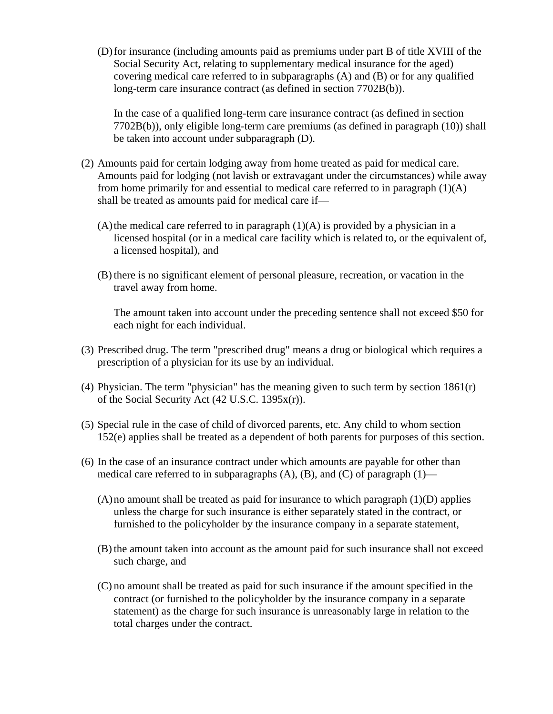(D)for insurance (including amounts paid as premiums under part B of title XVIII of the Social Security Act, relating to supplementary medical insurance for the aged) covering medical care referred to in subparagraphs (A) and (B) or for any qualified long-term care insurance contract (as defined in section 7702B(b)).

In the case of a qualified long-term care insurance contract (as defined in section 7702B(b)), only eligible long-term care premiums (as defined in paragraph (10)) shall be taken into account under subparagraph (D).

- (2) Amounts paid for certain lodging away from home treated as paid for medical care. Amounts paid for lodging (not lavish or extravagant under the circumstances) while away from home primarily for and essential to medical care referred to in paragraph  $(1)(A)$ shall be treated as amounts paid for medical care if—
	- (A) the medical care referred to in paragraph  $(1)(A)$  is provided by a physician in a licensed hospital (or in a medical care facility which is related to, or the equivalent of, a licensed hospital), and
	- (B) there is no significant element of personal pleasure, recreation, or vacation in the travel away from home.

The amount taken into account under the preceding sentence shall not exceed \$50 for each night for each individual.

- (3) Prescribed drug. The term "prescribed drug" means a drug or biological which requires a prescription of a physician for its use by an individual.
- (4) Physician. The term "physician" has the meaning given to such term by section 1861(r) of the Social Security Act (42 U.S.C. 1395x(r)).
- (5) Special rule in the case of child of divorced parents, etc. Any child to whom section 152(e) applies shall be treated as a dependent of both parents for purposes of this section.
- (6) In the case of an insurance contract under which amounts are payable for other than medical care referred to in subparagraphs  $(A)$ ,  $(B)$ , and  $(C)$  of paragraph  $(1)$ —
	- $(A)$  no amount shall be treated as paid for insurance to which paragraph  $(1)(D)$  applies unless the charge for such insurance is either separately stated in the contract, or furnished to the policyholder by the insurance company in a separate statement,
	- (B) the amount taken into account as the amount paid for such insurance shall not exceed such charge, and
	- (C) no amount shall be treated as paid for such insurance if the amount specified in the contract (or furnished to the policyholder by the insurance company in a separate statement) as the charge for such insurance is unreasonably large in relation to the total charges under the contract.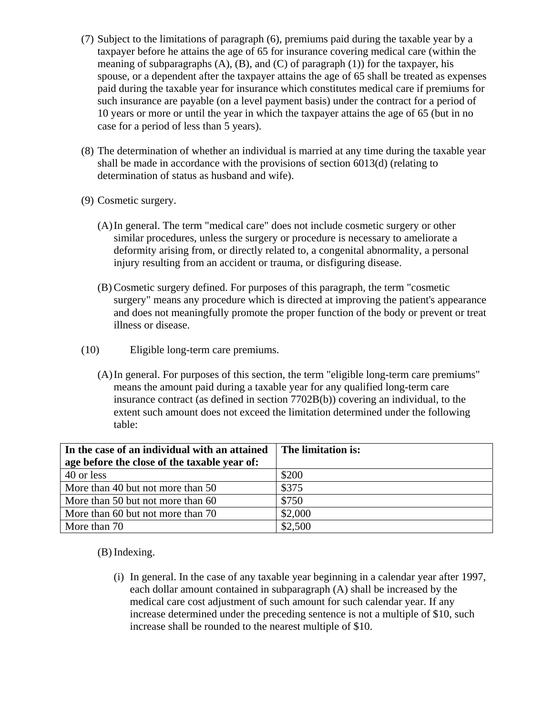- (7) Subject to the limitations of paragraph (6), premiums paid during the taxable year by a taxpayer before he attains the age of 65 for insurance covering medical care (within the meaning of subparagraphs  $(A)$ ,  $(B)$ , and  $(C)$  of paragraph  $(1)$ ) for the taxpayer, his spouse, or a dependent after the taxpayer attains the age of 65 shall be treated as expenses paid during the taxable year for insurance which constitutes medical care if premiums for such insurance are payable (on a level payment basis) under the contract for a period of 10 years or more or until the year in which the taxpayer attains the age of 65 (but in no case for a period of less than 5 years).
- (8) The determination of whether an individual is married at any time during the taxable year shall be made in accordance with the provisions of section 6013(d) (relating to determination of status as husband and wife).
- (9) Cosmetic surgery.
	- (A)In general. The term "medical care" does not include cosmetic surgery or other similar procedures, unless the surgery or procedure is necessary to ameliorate a deformity arising from, or directly related to, a congenital abnormality, a personal injury resulting from an accident or trauma, or disfiguring disease.
	- (B) Cosmetic surgery defined. For purposes of this paragraph, the term "cosmetic surgery" means any procedure which is directed at improving the patient's appearance and does not meaningfully promote the proper function of the body or prevent or treat illness or disease.
- (10) Eligible long-term care premiums.
	- (A)In general. For purposes of this section, the term "eligible long-term care premiums" means the amount paid during a taxable year for any qualified long-term care insurance contract (as defined in section 7702B(b)) covering an individual, to the extent such amount does not exceed the limitation determined under the following table:

| In the case of an individual with an attained | The limitation is: |
|-----------------------------------------------|--------------------|
| age before the close of the taxable year of:  |                    |
| 40 or less                                    | \$200              |
| More than 40 but not more than 50             | \$375              |
| More than 50 but not more than 60             | \$750              |
| More than 60 but not more than 70             | \$2,000            |
| More than 70                                  | \$2,500            |

(B) Indexing.

(i) In general. In the case of any taxable year beginning in a calendar year after 1997, each dollar amount contained in subparagraph (A) shall be increased by the medical care cost adjustment of such amount for such calendar year. If any increase determined under the preceding sentence is not a multiple of \$10, such increase shall be rounded to the nearest multiple of \$10.